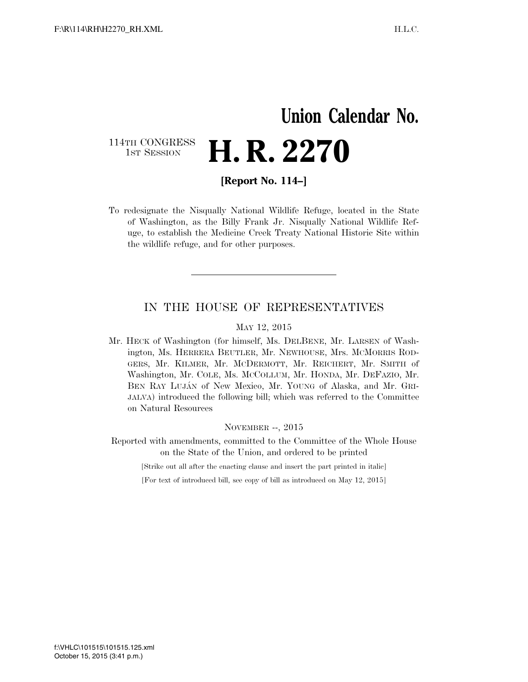## **Union Calendar No.**  114TH CONGRESS<br>1st Session H. R. 2270

**[Report No. 114–]** 

To redesignate the Nisqually National Wildlife Refuge, located in the State of Washington, as the Billy Frank Jr. Nisqually National Wildlife Refuge, to establish the Medicine Creek Treaty National Historic Site within the wildlife refuge, and for other purposes.

### IN THE HOUSE OF REPRESENTATIVES

#### MAY 12, 2015

Mr. HECK of Washington (for himself, Ms. DELBENE, Mr. LARSEN of Washington, Ms. HERRERA BEUTLER, Mr. NEWHOUSE, Mrs. MCMORRIS ROD-GERS, Mr. KILMER, Mr. MCDERMOTT, Mr. REICHERT, Mr. SMITH of Washington, Mr. COLE, Ms. MCCOLLUM, Mr. HONDA, Mr. DEFAZIO, Mr. BEN RAY LUJA´N of New Mexico, Mr. YOUNG of Alaska, and Mr. GRI-JALVA) introduced the following bill; which was referred to the Committee on Natural Resources

NOVEMBER --, 2015

Reported with amendments, committed to the Committee of the Whole House on the State of the Union, and ordered to be printed

[Strike out all after the enacting clause and insert the part printed in italic]

[For text of introduced bill, see copy of bill as introduced on May 12, 2015]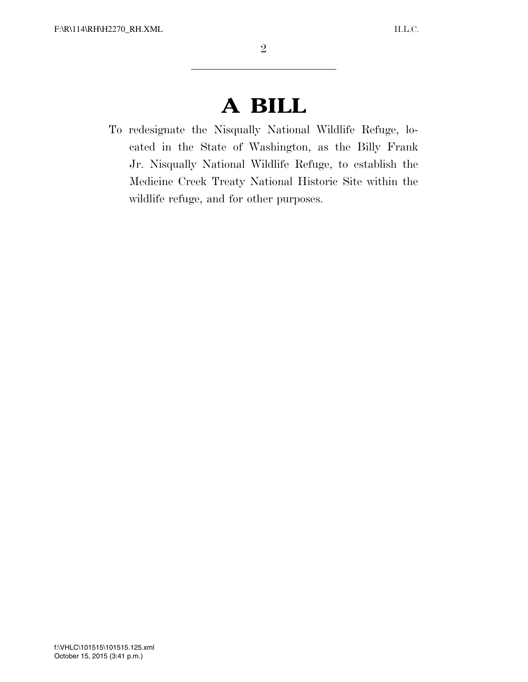# **A BILL**

To redesignate the Nisqually National Wildlife Refuge, located in the State of Washington, as the Billy Frank Jr. Nisqually National Wildlife Refuge, to establish the Medicine Creek Treaty National Historic Site within the wildlife refuge, and for other purposes.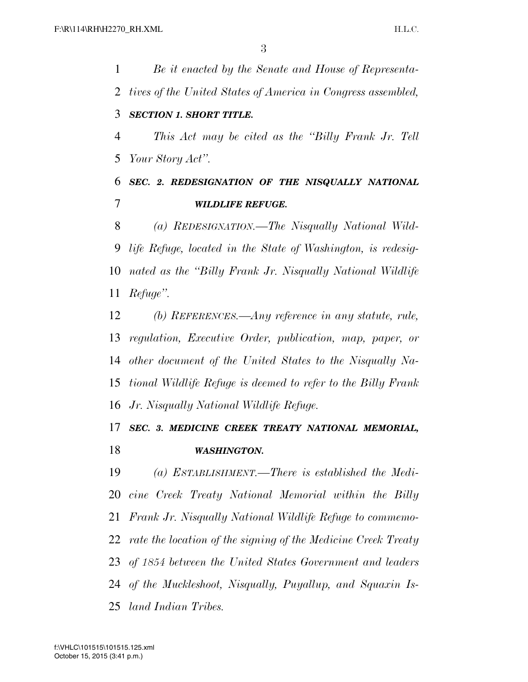*Be it enacted by the Senate and House of Representa- tives of the United States of America in Congress assembled, SECTION 1. SHORT TITLE. This Act may be cited as the ''Billy Frank Jr. Tell Your Story Act''. SEC. 2. REDESIGNATION OF THE NISQUALLY NATIONAL WILDLIFE REFUGE. (a) REDESIGNATION.—The Nisqually National Wild- life Refuge, located in the State of Washington, is redesig-nated as the ''Billy Frank Jr. Nisqually National Wildlife* 

*Refuge''.* 

 *(b) REFERENCES.—Any reference in any statute, rule, regulation, Executive Order, publication, map, paper, or other document of the United States to the Nisqually Na- tional Wildlife Refuge is deemed to refer to the Billy Frank Jr. Nisqually National Wildlife Refuge.* 

### *SEC. 3. MEDICINE CREEK TREATY NATIONAL MEMORIAL, WASHINGTON.*

 *(a) ESTABLISHMENT.—There is established the Medi- cine Creek Treaty National Memorial within the Billy Frank Jr. Nisqually National Wildlife Refuge to commemo- rate the location of the signing of the Medicine Creek Treaty of 1854 between the United States Government and leaders of the Muckleshoot, Nisqually, Puyallup, and Squaxin Is-land Indian Tribes.*